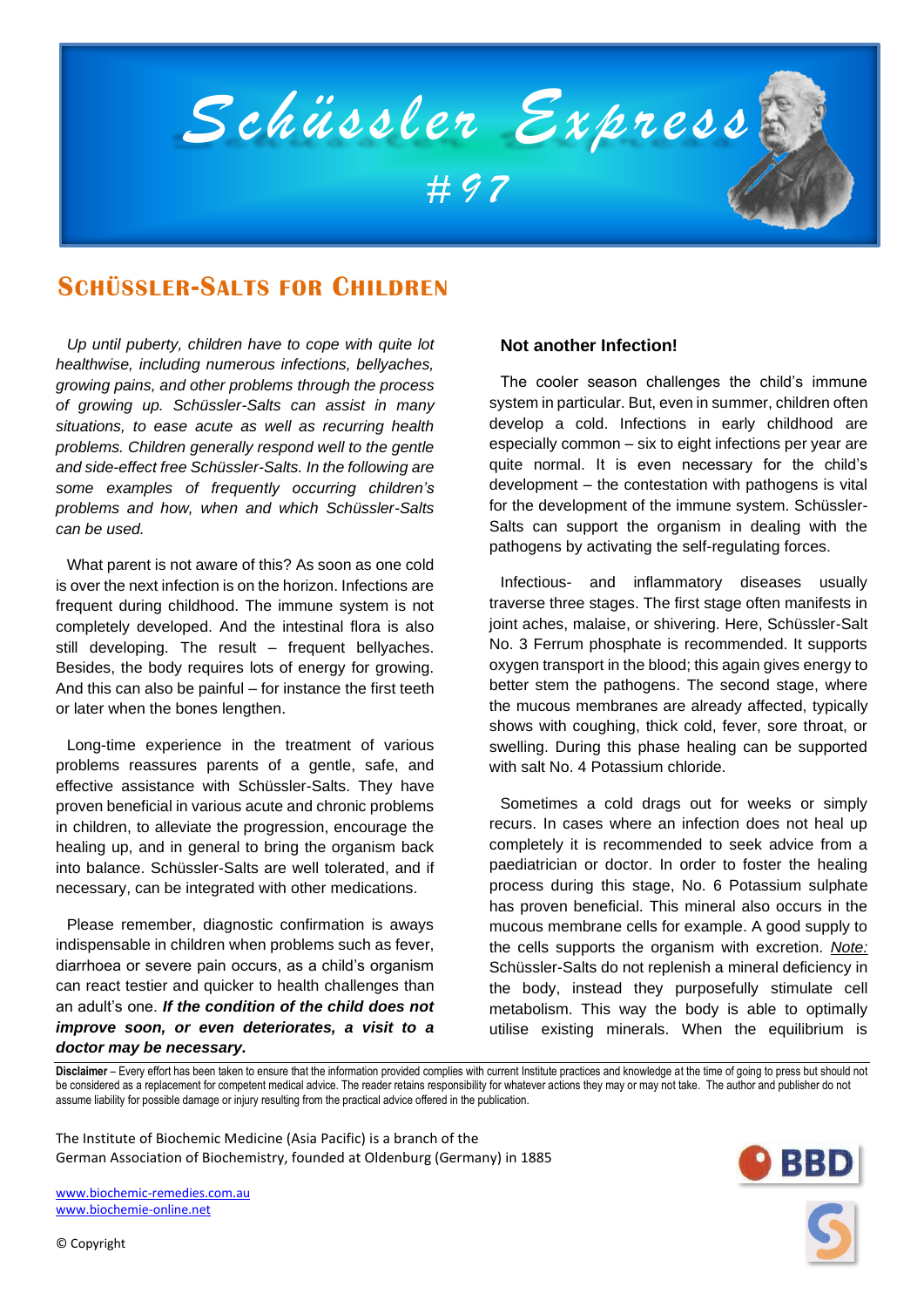

# **SCHÜSSLER-SALTS FOR CHILDREN**

*Up until puberty, children have to cope with quite lot healthwise, including numerous infections, bellyaches, growing pains, and other problems through the process of growing up. Schüssler-Salts can assist in many situations, to ease acute as well as recurring health problems. Children generally respond well to the gentle and side-effect free Schüssler-Salts. In the following are some examples of frequently occurring children's problems and how, when and which Schüssler-Salts can be used.* 

What parent is not aware of this? As soon as one cold is over the next infection is on the horizon. Infections are frequent during childhood. The immune system is not completely developed. And the intestinal flora is also still developing. The result – frequent bellyaches. Besides, the body requires lots of energy for growing. And this can also be painful – for instance the first teeth or later when the bones lengthen.

Long-time experience in the treatment of various problems reassures parents of a gentle, safe, and effective assistance with Schüssler-Salts. They have proven beneficial in various acute and chronic problems in children, to alleviate the progression, encourage the healing up, and in general to bring the organism back into balance. Schüssler-Salts are well tolerated, and if necessary, can be integrated with other medications.

Please remember, diagnostic confirmation is aways indispensable in children when problems such as fever, diarrhoea or severe pain occurs, as a child's organism can react testier and quicker to health challenges than an adult's one. *If the condition of the child does not improve soon, or even deteriorates, a visit to a doctor may be necessary.*

#### **Not another Infection!**

The cooler season challenges the child's immune system in particular. But, even in summer, children often develop a cold. Infections in early childhood are especially common – six to eight infections per year are quite normal. It is even necessary for the child's development – the contestation with pathogens is vital for the development of the immune system. Schüssler-Salts can support the organism in dealing with the pathogens by activating the self-regulating forces.

Infectious- and inflammatory diseases usually traverse three stages. The first stage often manifests in joint aches, malaise, or shivering. Here, Schüssler-Salt No. 3 Ferrum phosphate is recommended. It supports oxygen transport in the blood; this again gives energy to better stem the pathogens. The second stage, where the mucous membranes are already affected, typically shows with coughing, thick cold, fever, sore throat, or swelling. During this phase healing can be supported with salt No. 4 Potassium chloride.

Sometimes a cold drags out for weeks or simply recurs. In cases where an infection does not heal up completely it is recommended to seek advice from a paediatrician or doctor. In order to foster the healing process during this stage, No. 6 Potassium sulphate has proven beneficial. This mineral also occurs in the mucous membrane cells for example. A good supply to the cells supports the organism with excretion. *Note:* Schüssler-Salts do not replenish a mineral deficiency in the body, instead they purposefully stimulate cell metabolism. This way the body is able to optimally utilise existing minerals. When the equilibrium is

**Disclaimer** – Every effort has been taken to ensure that the information provided complies with current Institute practices and knowledge at the time of going to press but should not be considered as a replacement for competent medical advice. The reader retains responsibility for whatever actions they may or may not take. The author and publisher do not assume liability for possible damage or injury resulting from the practical advice offered in the publication.

The Institute of Biochemic Medicine (Asia Pacific) is a branch of the German Association of Biochemistry, founded at Oldenburg (Germany) in 1885

[www.biochemic-remedies.com.au](http://www.biochemic-remedies.com.au/) [www.biochemie-online.net](http://www.biochemie-online.net/)



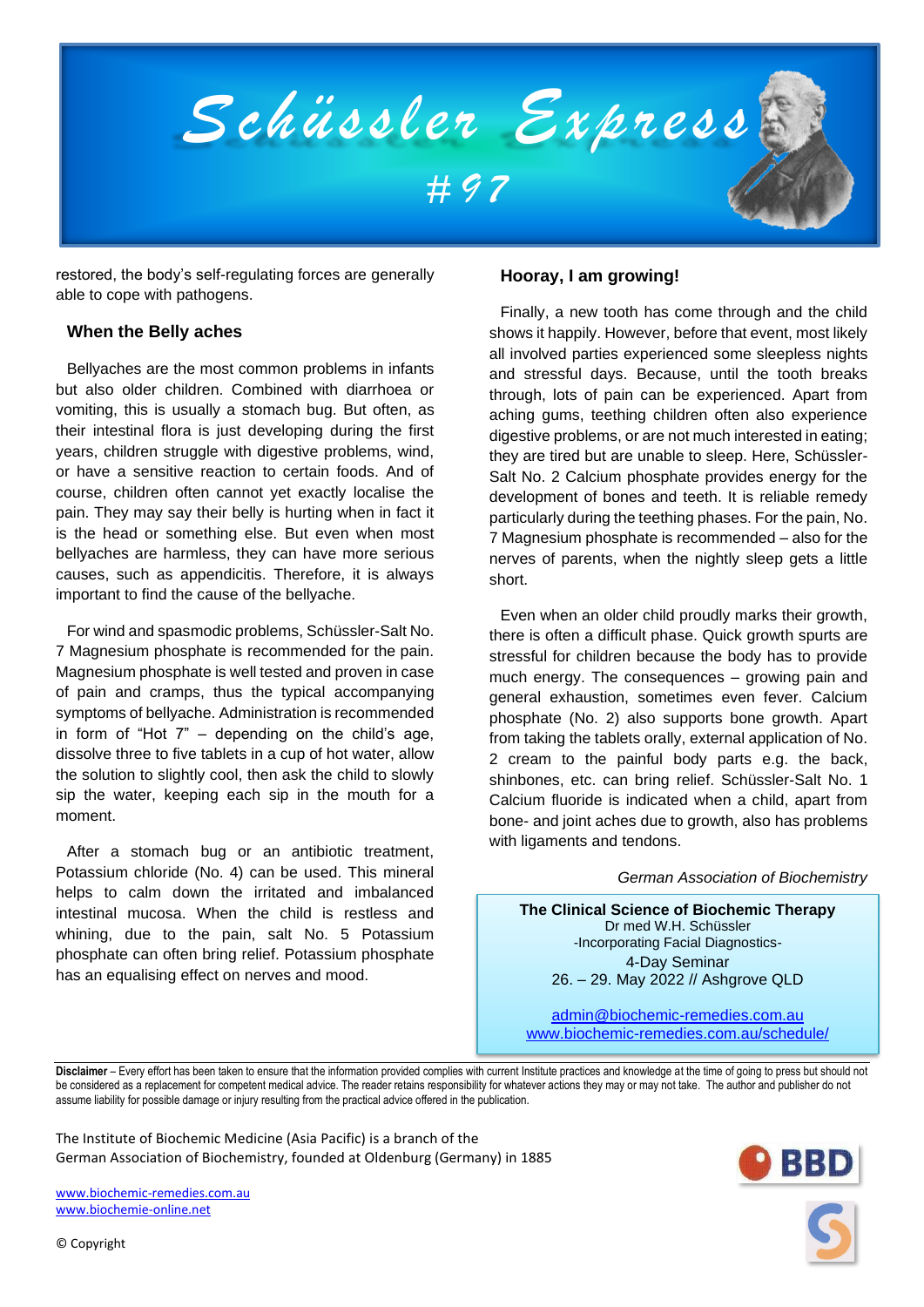

restored, the body's self-regulating forces are generally able to cope with pathogens.

### **When the Belly aches**

Bellyaches are the most common problems in infants but also older children. Combined with diarrhoea or vomiting, this is usually a stomach bug. But often, as their intestinal flora is just developing during the first years, children struggle with digestive problems, wind, or have a sensitive reaction to certain foods. And of course, children often cannot yet exactly localise the pain. They may say their belly is hurting when in fact it is the head or something else. But even when most bellyaches are harmless, they can have more serious causes, such as appendicitis. Therefore, it is always important to find the cause of the bellyache.

For wind and spasmodic problems, Schüssler-Salt No. 7 Magnesium phosphate is recommended for the pain. Magnesium phosphate is well tested and proven in case of pain and cramps, thus the typical accompanying symptoms of bellyache. Administration is recommended in form of "Hot  $7"$  – depending on the child's age, dissolve three to five tablets in a cup of hot water, allow the solution to slightly cool, then ask the child to slowly sip the water, keeping each sip in the mouth for a moment.

After a stomach bug or an antibiotic treatment, Potassium chloride (No. 4) can be used. This mineral helps to calm down the irritated and imbalanced intestinal mucosa. When the child is restless and whining, due to the pain, salt No. 5 Potassium phosphate can often bring relief. Potassium phosphate has an equalising effect on nerves and mood.

#### **Hooray, I am growing!**

Finally, a new tooth has come through and the child shows it happily. However, before that event, most likely all involved parties experienced some sleepless nights and stressful days. Because, until the tooth breaks through, lots of pain can be experienced. Apart from aching gums, teething children often also experience digestive problems, or are not much interested in eating; they are tired but are unable to sleep. Here, Schüssler-Salt No. 2 Calcium phosphate provides energy for the development of bones and teeth. It is reliable remedy particularly during the teething phases. For the pain, No. 7 Magnesium phosphate is recommended – also for the nerves of parents, when the nightly sleep gets a little short.

Even when an older child proudly marks their growth, there is often a difficult phase. Quick growth spurts are stressful for children because the body has to provide much energy. The consequences – growing pain and general exhaustion, sometimes even fever. Calcium phosphate (No. 2) also supports bone growth. Apart from taking the tablets orally, external application of No. 2 cream to the painful body parts e.g. the back, shinbones, etc. can bring relief. Schüssler-Salt No. 1 Calcium fluoride is indicated when a child, apart from bone- and joint aches due to growth, also has problems with ligaments and tendons.

#### *German Association of Biochemistry*

**The Clinical Science of Biochemic Therapy** Dr med W.H. Schüssler -Incorporating Facial Diagnostics-4-Day Seminar 26. – 29. May 2022 // Ashgrove QLD

[admin@biochemic-remedies.com.au](mailto:admin@biochemic-remedies.com.au) [www.biochemic-remedies.com.au/schedule/](http://www.biochemic-remedies.com.au/schedule/)

**Disclaimer** – Every effort has been taken to ensure that the information provided complies with current Institute practices and knowledge at the time of going to press but should not be considered as a replacement for competent medical advice. The reader retains responsibility for whatever actions they may or may not take. The author and publisher do not assume liability for possible damage or injury resulting from the practical advice offered in the publication.

The Institute of Biochemic Medicine (Asia Pacific) is a branch of the German Association of Biochemistry, founded at Oldenburg (Germany) in 1885

[www.biochemic-remedies.com.au](http://www.biochemic-remedies.com.au/) [www.biochemie-online.net](http://www.biochemie-online.net/)